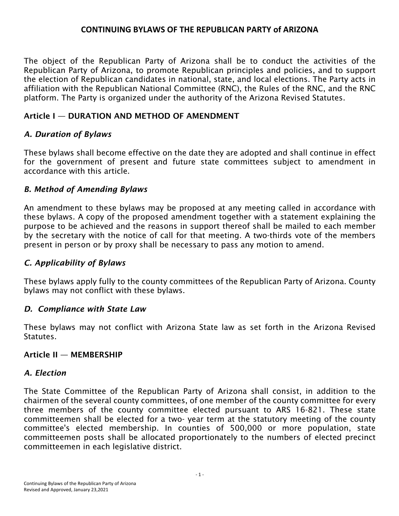### **CONTINUING BYLAWS OF THE REPUBLICAN PARTY of ARIZONA**

The object of the Republican Party of Arizona shall be to conduct the activities of the Republican Party of Arizona, to promote Republican principles and policies, and to support the election of Republican candidates in national, state, and local elections. The Party acts in affiliation with the Republican National Committee (RNC), the Rules of the RNC, and the RNC platform. The Party is organized under the authority of the Arizona Revised Statutes.

### Article I — DURATION AND METHOD OF AMENDMENT

### *A. Duration of Bylaws*

These bylaws shall become effective on the date they are adopted and shall continue in effect for the government of present and future state committees subject to amendment in accordance with this article.

### *B. Method of Amending Bylaws*

An amendment to these bylaws may be proposed at any meeting called in accordance with these bylaws. A copy of the proposed amendment together with a statement explaining the purpose to be achieved and the reasons in support thereof shall be mailed to each member by the secretary with the notice of call for that meeting. A two-thirds vote of the members present in person or by proxy shall be necessary to pass any motion to amend.

#### *C. Applicability of Bylaws*

These bylaws apply fully to the county committees of the Republican Party of Arizona. County bylaws may not conflict with these bylaws.

#### *D. Compliance with State Law*

These bylaws may not conflict with Arizona State law as set forth in the Arizona Revised Statutes.

#### Article II — MEMBERSHIP

#### *A. Election*

The State Committee of the Republican Party of Arizona shall consist, in addition to the chairmen of the several county committees, of one member of the county committee for every three members of the county committee elected pursuant to ARS 16-821. These state committeemen shall be elected for a two- year term at the statutory meeting of the county committee's elected membership. In counties of 500,000 or more population, state committeemen posts shall be allocated proportionately to the numbers of elected precinct committeemen in each legislative district.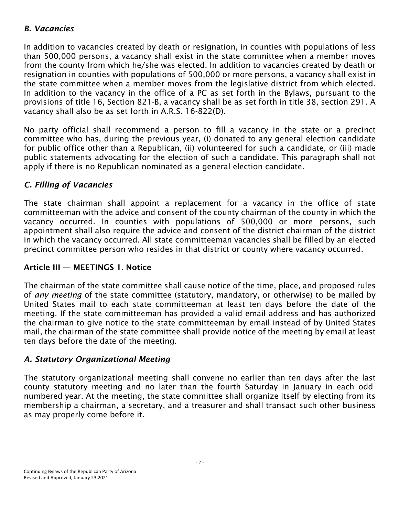### *B. Vacancies*

In addition to vacancies created by death or resignation, in counties with populations of less than 500,000 persons, a vacancy shall exist in the state committee when a member moves from the county from which he/she was elected. In addition to vacancies created by death or resignation in counties with populations of 500,000 or more persons, a vacancy shall exist in the state committee when a member moves from the legislative district from which elected. In addition to the vacancy in the office of a PC as set forth in the Bylaws, pursuant to the provisions of title 16, Section 821-B, a vacancy shall be as set forth in title 38, section 291. A vacancy shall also be as set forth in A.R.S. 16-822(D).

No party official shall recommend a person to fill a vacancy in the state or a precinct committee who has, during the previous year, (i) donated to any general election candidate for public office other than a Republican, (ii) volunteered for such a candidate, or (iii) made public statements advocating for the election of such a candidate. This paragraph shall not apply if there is no Republican nominated as a general election candidate.

# *C. Filling of Vacancies*

The state chairman shall appoint a replacement for a vacancy in the office of state committeeman with the advice and consent of the county chairman of the county in which the vacancy occurred. In counties with populations of 500,000 or more persons, such appointment shall also require the advice and consent of the district chairman of the district in which the vacancy occurred. All state committeeman vacancies shall be filled by an elected precinct committee person who resides in that district or county where vacancy occurred.

### Article III — MEETINGS 1. Notice

The chairman of the state committee shall cause notice of the time, place, and proposed rules of *any meeting* of the state committee (statutory, mandatory, or otherwise) to be mailed by United States mail to each state committeeman at least ten days before the date of the meeting. If the state committeeman has provided a valid email address and has authorized the chairman to give notice to the state committeeman by email instead of by United States mail, the chairman of the state committee shall provide notice of the meeting by email at least ten days before the date of the meeting.

### *A. Statutory Organizational Meeting*

The statutory organizational meeting shall convene no earlier than ten days after the last county statutory meeting and no later than the fourth Saturday in January in each oddnumbered year. At the meeting, the state committee shall organize itself by electing from its membership a chairman, a secretary, and a treasurer and shall transact such other business as may properly come before it.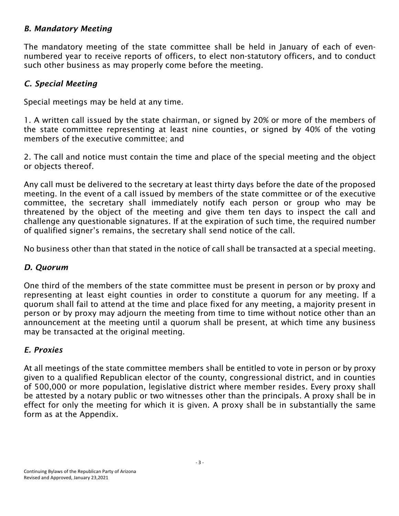#### *B. Mandatory Meeting*

The mandatory meeting of the state committee shall be held in January of each of evennumbered year to receive reports of officers, to elect non-statutory officers, and to conduct such other business as may properly come before the meeting.

### *C. Special Meeting*

Special meetings may be held at any time.

1. A written call issued by the state chairman, or signed by 20% or more of the members of the state committee representing at least nine counties, or signed by 40% of the voting members of the executive committee; and

2. The call and notice must contain the time and place of the special meeting and the object or objects thereof.

Any call must be delivered to the secretary at least thirty days before the date of the proposed meeting. In the event of a call issued by members of the state committee or of the executive committee, the secretary shall immediately notify each person or group who may be threatened by the object of the meeting and give them ten days to inspect the call and challenge any questionable signatures. If at the expiration of such time, the required number of qualified signer's remains, the secretary shall send notice of the call.

No business other than that stated in the notice of call shall be transacted at a special meeting.

#### *D. Quorum*

One third of the members of the state committee must be present in person or by proxy and representing at least eight counties in order to constitute a quorum for any meeting. If a quorum shall fail to attend at the time and place fixed for any meeting, a majority present in person or by proxy may adjourn the meeting from time to time without notice other than an announcement at the meeting until a quorum shall be present, at which time any business may be transacted at the original meeting.

#### *E. Proxies*

At all meetings of the state committee members shall be entitled to vote in person or by proxy given to a qualified Republican elector of the county, congressional district, and in counties of 500,000 or more population, legislative district where member resides. Every proxy shall be attested by a notary public or two witnesses other than the principals. A proxy shall be in effect for only the meeting for which it is given. A proxy shall be in substantially the same form as at the Appendix.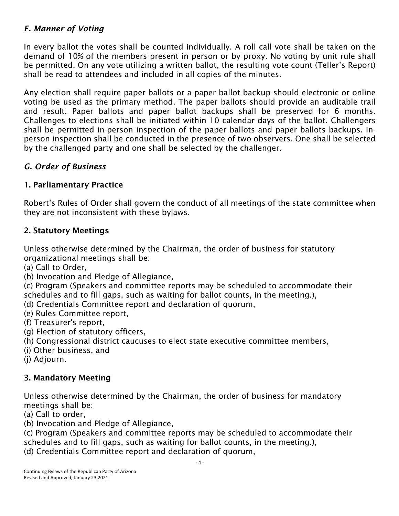### *F. Manner of Voting*

In every ballot the votes shall be counted individually. A roll call vote shall be taken on the demand of 10% of the members present in person or by proxy. No voting by unit rule shall be permitted. On any vote utilizing a written ballot, the resulting vote count (Teller's Report) shall be read to attendees and included in all copies of the minutes.

Any election shall require paper ballots or a paper ballot backup should electronic or online voting be used as the primary method. The paper ballots should provide an auditable trail and result. Paper ballots and paper ballot backups shall be preserved for 6 months. Challenges to elections shall be initiated within 10 calendar days of the ballot. Challengers shall be permitted in-person inspection of the paper ballots and paper ballots backups. Inperson inspection shall be conducted in the presence of two observers. One shall be selected by the challenged party and one shall be selected by the challenger.

# *G. Order of Business*

# 1. Parliamentary Practice

Robert's Rules of Order shall govern the conduct of all meetings of the state committee when they are not inconsistent with these bylaws.

# 2. Statutory Meetings

Unless otherwise determined by the Chairman, the order of business for statutory organizational meetings shall be:

(a) Call to Order,

(b) Invocation and Pledge of Allegiance,

(c) Program (Speakers and committee reports may be scheduled to accommodate their schedules and to fill gaps, such as waiting for ballot counts, in the meeting.),

- (d) Credentials Committee report and declaration of quorum,
- (e) Rules Committee report,
- (f) Treasurer's report,
- (g) Election of statutory officers,
- (h) Congressional district caucuses to elect state executive committee members,
- (i) Other business, and
- (j) Adjourn.

### 3. Mandatory Meeting

Unless otherwise determined by the Chairman, the order of business for mandatory meetings shall be:

- (a) Call to order,
- (b) Invocation and Pledge of Allegiance,

(c) Program (Speakers and committee reports may be scheduled to accommodate their schedules and to fill gaps, such as waiting for ballot counts, in the meeting.), (d) Credentials Committee report and declaration of quorum,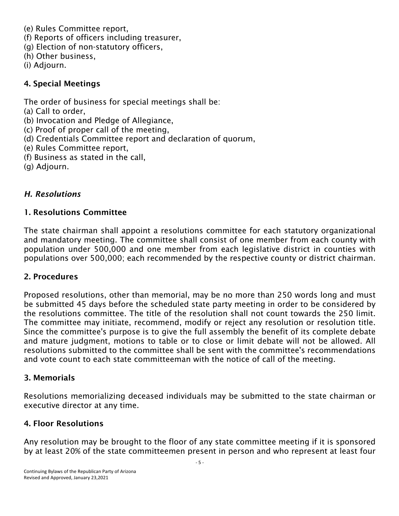- (e) Rules Committee report,
- (f) Reports of officers including treasurer,
- (g) Election of non-statutory officers,
- (h) Other business,
- (i) Adjourn.

### 4. Special Meetings

The order of business for special meetings shall be:

- (a) Call to order,
- (b) Invocation and Pledge of Allegiance,
- (c) Proof of proper call of the meeting,
- (d) Credentials Committee report and declaration of quorum,
- (e) Rules Committee report,
- (f) Business as stated in the call,
- (g) Adjourn.

# *H. Resolutions*

# 1. Resolutions Committee

The state chairman shall appoint a resolutions committee for each statutory organizational and mandatory meeting. The committee shall consist of one member from each county with population under 500,000 and one member from each legislative district in counties with populations over 500,000; each recommended by the respective county or district chairman.

# 2. Procedures

Proposed resolutions, other than memorial, may be no more than 250 words long and must be submitted 45 days before the scheduled state party meeting in order to be considered by the resolutions committee. The title of the resolution shall not count towards the 250 limit. The committee may initiate, recommend, modify or reject any resolution or resolution title. Since the committee's purpose is to give the full assembly the benefit of its complete debate and mature judgment, motions to table or to close or limit debate will not be allowed. All resolutions submitted to the committee shall be sent with the committee's recommendations and vote count to each state committeeman with the notice of call of the meeting.

### 3. Memorials

Resolutions memorializing deceased individuals may be submitted to the state chairman or executive director at any time.

### 4. Floor Resolutions

Any resolution may be brought to the floor of any state committee meeting if it is sponsored by at least 20% of the state committeemen present in person and who represent at least four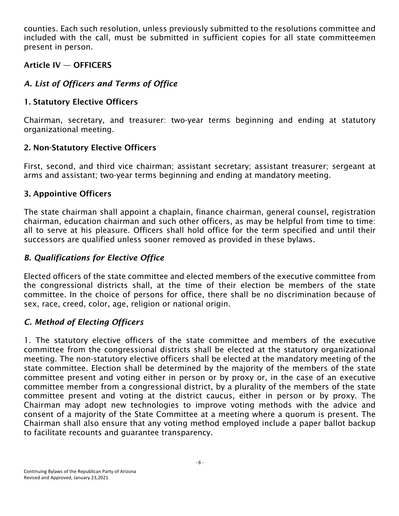counties. Each such resolution, unless previously submitted to the resolutions committee and included with the call, must be submitted in sufficient copies for all state committeemen present in person.

### Article IV — OFFICERS

# *A. List of Officers and Terms of Office*

# 1. Statutory Elective Officers

Chairman, secretary, and treasurer: two-year terms beginning and ending at statutory organizational meeting.

# 2. Non-Statutory Elective Officers

First, second, and third vice chairman; assistant secretary; assistant treasurer; sergeant at arms and assistant; two-year terms beginning and ending at mandatory meeting.

# 3. Appointive Officers

The state chairman shall appoint a chaplain, finance chairman, general counsel, registration chairman, education chairman and such other officers, as may be helpful from time to time: all to serve at his pleasure. Officers shall hold office for the term specified and until their successors are qualified unless sooner removed as provided in these bylaws.

# *B. Qualifications for Elective Office*

Elected officers of the state committee and elected members of the executive committee from the congressional districts shall, at the time of their election be members of the state committee. In the choice of persons for office, there shall be no discrimination because of sex, race, creed, color, age, religion or national origin.

# *C. Method of Electing Officers*

1. The statutory elective officers of the state committee and members of the executive committee from the congressional districts shall be elected at the statutory organizational meeting. The non-statutory elective officers shall be elected at the mandatory meeting of the state committee. Election shall be determined by the majority of the members of the state committee present and voting either in person or by proxy or, in the case of an executive committee member from a congressional district, by a plurality of the members of the state committee present and voting at the district caucus, either in person or by proxy. The Chairman may adopt new technologies to improve voting methods with the advice and consent of a majority of the State Committee at a meeting where a quorum is present. The Chairman shall also ensure that any voting method employed include a paper ballot backup to facilitate recounts and guarantee transparency.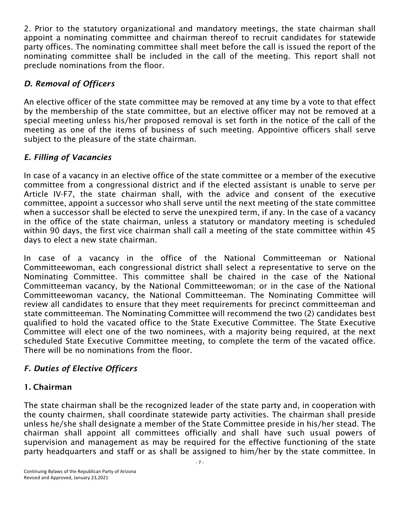2. Prior to the statutory organizational and mandatory meetings, the state chairman shall appoint a nominating committee and chairman thereof to recruit candidates for statewide party offices. The nominating committee shall meet before the call is issued the report of the nominating committee shall be included in the call of the meeting. This report shall not preclude nominations from the floor.

# *D. Removal of Officers*

An elective officer of the state committee may be removed at any time by a vote to that effect by the membership of the state committee, but an elective officer may not be removed at a special meeting unless his/her proposed removal is set forth in the notice of the call of the meeting as one of the items of business of such meeting. Appointive officers shall serve subject to the pleasure of the state chairman.

# *E. Filling of Vacancies*

In case of a vacancy in an elective office of the state committee or a member of the executive committee from a congressional district and if the elected assistant is unable to serve per Article IV-F7, the state chairman shall, with the advice and consent of the executive committee, appoint a successor who shall serve until the next meeting of the state committee when a successor shall be elected to serve the unexpired term, if any. In the case of a vacancy in the office of the state chairman, unless a statutory or mandatory meeting is scheduled within 90 days, the first vice chairman shall call a meeting of the state committee within 45 days to elect a new state chairman.

In case of a vacancy in the office of the National Committeeman or National Committeewoman, each congressional district shall select a representative to serve on the Nominating Committee. This committee shall be chaired in the case of the National Committeeman vacancy, by the National Committeewoman; or in the case of the National Committeewoman vacancy, the National Committeeman. The Nominating Committee will review all candidates to ensure that they meet requirements for precinct committeeman and state committeeman. The Nominating Committee will recommend the two (2) candidates best qualified to hold the vacated office to the State Executive Committee. The State Executive Committee will elect one of the two nominees, with a majority being required, at the next scheduled State Executive Committee meeting, to complete the term of the vacated office. There will be no nominations from the floor.

# *F. Duties of Elective Officers*

### 1. Chairman

The state chairman shall be the recognized leader of the state party and, in cooperation with the county chairmen, shall coordinate statewide party activities. The chairman shall preside unless he/she shall designate a member of the State Committee preside in his/her stead. The chairman shall appoint all committees officially and shall have such usual powers of supervision and management as may be required for the effective functioning of the state party headquarters and staff or as shall be assigned to him/her by the state committee. In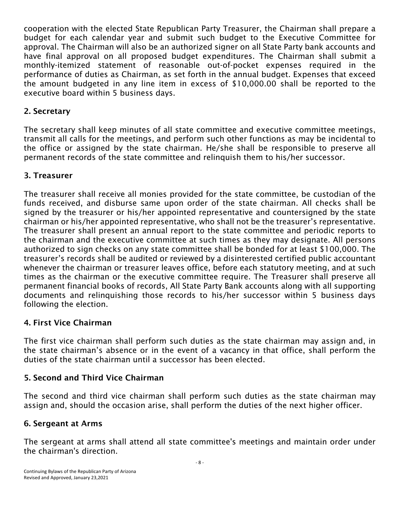cooperation with the elected State Republican Party Treasurer, the Chairman shall prepare a budget for each calendar year and submit such budget to the Executive Committee for approval. The Chairman will also be an authorized signer on all State Party bank accounts and have final approval on all proposed budget expenditures. The Chairman shall submit a monthly-itemized statement of reasonable out-of-pocket expenses required in the performance of duties as Chairman, as set forth in the annual budget. Expenses that exceed the amount budgeted in any line item in excess of \$10,000.00 shall be reported to the executive board within 5 business days.

#### 2. Secretary

The secretary shall keep minutes of all state committee and executive committee meetings, transmit all calls for the meetings, and perform such other functions as may be incidental to the office or assigned by the state chairman. He/she shall be responsible to preserve all permanent records of the state committee and relinquish them to his/her successor.

### 3. Treasurer

The treasurer shall receive all monies provided for the state committee, be custodian of the funds received, and disburse same upon order of the state chairman. All checks shall be signed by the treasurer or his/her appointed representative and countersigned by the state chairman or his/her appointed representative, who shall not be the treasurer's representative. The treasurer shall present an annual report to the state committee and periodic reports to the chairman and the executive committee at such times as they may designate. All persons authorized to sign checks on any state committee shall be bonded for at least \$100,000. The treasurer's records shall be audited or reviewed by a disinterested certified public accountant whenever the chairman or treasurer leaves office, before each statutory meeting, and at such times as the chairman or the executive committee require. The Treasurer shall preserve all permanent financial books of records, All State Party Bank accounts along with all supporting documents and relinquishing those records to his/her successor within 5 business days following the election.

### 4. First Vice Chairman

The first vice chairman shall perform such duties as the state chairman may assign and, in the state chairman's absence or in the event of a vacancy in that office, shall perform the duties of the state chairman until a successor has been elected.

#### 5. Second and Third Vice Chairman

The second and third vice chairman shall perform such duties as the state chairman may assign and, should the occasion arise, shall perform the duties of the next higher officer.

#### 6. Sergeant at Arms

The sergeant at arms shall attend all state committee's meetings and maintain order under the chairman's direction.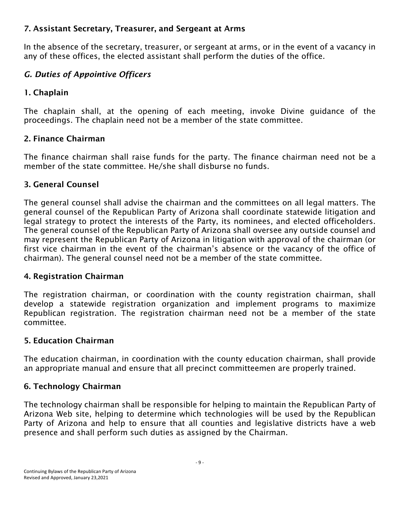### 7. Assistant Secretary, Treasurer, and Sergeant at Arms

In the absence of the secretary, treasurer, or sergeant at arms, or in the event of a vacancy in any of these offices, the elected assistant shall perform the duties of the office.

# *G. Duties of Appointive Officers*

# 1. Chaplain

The chaplain shall, at the opening of each meeting, invoke Divine guidance of the proceedings. The chaplain need not be a member of the state committee.

# 2. Finance Chairman

The finance chairman shall raise funds for the party. The finance chairman need not be a member of the state committee. He/she shall disburse no funds.

# 3. General Counsel

The general counsel shall advise the chairman and the committees on all legal matters. The general counsel of the Republican Party of Arizona shall coordinate statewide litigation and legal strategy to protect the interests of the Party, its nominees, and elected officeholders. The general counsel of the Republican Party of Arizona shall oversee any outside counsel and may represent the Republican Party of Arizona in litigation with approval of the chairman (or first vice chairman in the event of the chairman's absence or the vacancy of the office of chairman). The general counsel need not be a member of the state committee.

### 4. Registration Chairman

The registration chairman, or coordination with the county registration chairman, shall develop a statewide registration organization and implement programs to maximize Republican registration. The registration chairman need not be a member of the state committee.

# 5. Education Chairman

The education chairman, in coordination with the county education chairman, shall provide an appropriate manual and ensure that all precinct committeemen are properly trained.

# 6. Technology Chairman

The technology chairman shall be responsible for helping to maintain the Republican Party of Arizona Web site, helping to determine which technologies will be used by the Republican Party of Arizona and help to ensure that all counties and legislative districts have a web presence and shall perform such duties as assigned by the Chairman.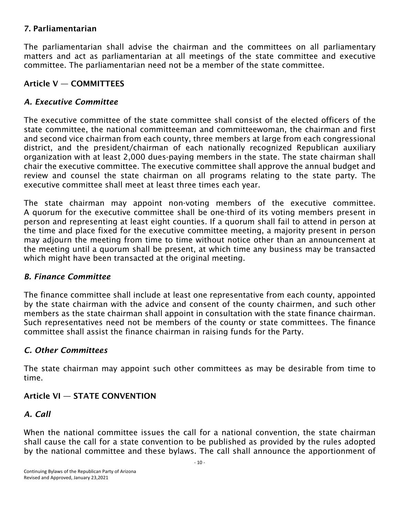### 7. Parliamentarian

The parliamentarian shall advise the chairman and the committees on all parliamentary matters and act as parliamentarian at all meetings of the state committee and executive committee. The parliamentarian need not be a member of the state committee.

### Article V — COMMITTEES

### *A. Executive Committee*

The executive committee of the state committee shall consist of the elected officers of the state committee, the national committeeman and committeewoman, the chairman and first and second vice chairman from each county, three members at large from each congressional district, and the president/chairman of each nationally recognized Republican auxiliary organization with at least 2,000 dues-paying members in the state. The state chairman shall chair the executive committee. The executive committee shall approve the annual budget and review and counsel the state chairman on all programs relating to the state party. The executive committee shall meet at least three times each year.

The state chairman may appoint non-voting members of the executive committee. A quorum for the executive committee shall be one-third of its voting members present in person and representing at least eight counties. If a quorum shall fail to attend in person at the time and place fixed for the executive committee meeting, a majority present in person may adjourn the meeting from time to time without notice other than an announcement at the meeting until a quorum shall be present, at which time any business may be transacted which might have been transacted at the original meeting.

#### *B. Finance Committee*

The finance committee shall include at least one representative from each county, appointed by the state chairman with the advice and consent of the county chairmen, and such other members as the state chairman shall appoint in consultation with the state finance chairman. Such representatives need not be members of the county or state committees. The finance committee shall assist the finance chairman in raising funds for the Party.

#### *C. Other Committees*

The state chairman may appoint such other committees as may be desirable from time to time.

### Article VI — STATE CONVENTION

#### *A. Call*

When the national committee issues the call for a national convention, the state chairman shall cause the call for a state convention to be published as provided by the rules adopted by the national committee and these bylaws. The call shall announce the apportionment of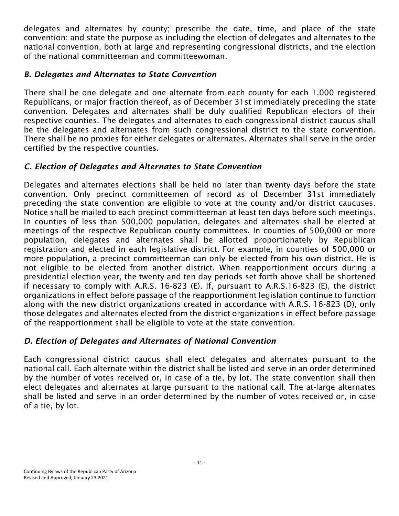delegates and alternates by county; prescribe the date, time, and place of the state convention; and state the purpose as including the election of delegates and alternates to the national convention, both at large and representing congressional districts, and the election of the national committeeman and committeewoman.

# *B. Delegates and Alternates to State Convention*

There shall be one delegate and one alternate from each county for each 1,000 registered Republicans, or major fraction thereof, as of December 31st immediately preceding the state convention. Delegates and alternates shall be duly qualified Republican electors of their respective counties. The delegates and alternates to each congressional district caucus shall be the delegates and alternates from such congressional district to the state convention. There shall be no proxies for either delegates or alternates. Alternates shall serve in the order certified by the respective counties.

# *C. Election of Delegates and Alternates to State Convention*

Delegates and alternates elections shall be held no later than twenty days before the state convention. Only precinct committeemen of record as of December 31st immediately preceding the state convention are eligible to vote at the county and/or district caucuses. Notice shall be mailed to each precinct committeeman at least ten days before such meetings. In counties of less than 500,000 population, delegates and alternates shall be elected at meetings of the respective Republican county committees. In counties of 500,000 or more population, delegates and alternates shall be allotted proportionately by Republican registration and elected in each legislative district. For example, in counties of 500,000 or more population, a precinct committeeman can only be elected from his own district. He is not eligible to be elected from another district. When reapportionment occurs during a presidential election year, the twenty and ten day periods set forth above shall be shortened if necessary to comply with A.R.S. 16-823 (E). If, pursuant to A.R.S.16-823 (E), the district organizations in effect before passage of the reapportionment legislation continue to function along with the new district organizations created in accordance with A.R.S. 16-823 (D), only those delegates and alternates elected from the district organizations in effect before passage of the reapportionment shall be eligible to vote at the state convention.

# *D. Election of Delegates and Alternates of National Convention*

Each congressional district caucus shall elect delegates and alternates pursuant to the national call. Each alternate within the district shall be listed and serve in an order determined by the number of votes received or, in case of a tie, by lot. The state convention shall then elect delegates and alternates at large pursuant to the national call. The at-large alternates shall be listed and serve in an order determined by the number of votes received or, in case of a tie, by lot.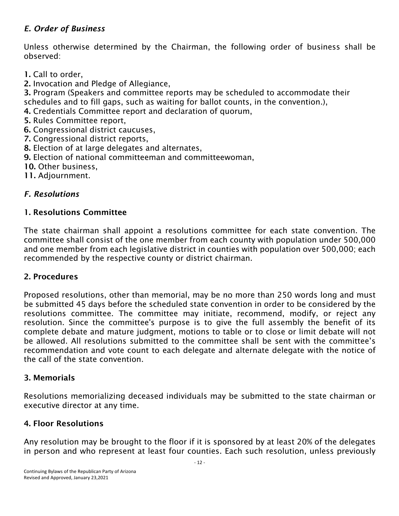# *E. Order of Business*

Unless otherwise determined by the Chairman, the following order of business shall be observed:

- 1. Call to order,
- 2. Invocation and Pledge of Allegiance,

3. Program (Speakers and committee reports may be scheduled to accommodate their schedules and to fill gaps, such as waiting for ballot counts, in the convention.),

- 4. Credentials Committee report and declaration of quorum,
- 5. Rules Committee report,
- 6. Congressional district caucuses,
- 7. Congressional district reports,
- 8. Election of at large delegates and alternates,
- 9. Election of national committeeman and committeewoman,

10. Other business.

11. Adjournment.

### *F. Resolutions*

### 1. Resolutions Committee

The state chairman shall appoint a resolutions committee for each state convention. The committee shall consist of the one member from each county with population under 500,000 and one member from each legislative district in counties with population over 500,000; each recommended by the respective county or district chairman.

#### 2. Procedures

Proposed resolutions, other than memorial, may be no more than 250 words long and must be submitted 45 days before the scheduled state convention in order to be considered by the resolutions committee. The committee may initiate, recommend, modify, or reject any resolution. Since the committee's purpose is to give the full assembly the benefit of its complete debate and mature judgment, motions to table or to close or limit debate will not be allowed. All resolutions submitted to the committee shall be sent with the committee's recommendation and vote count to each delegate and alternate delegate with the notice of the call of the state convention.

#### 3. Memorials

Resolutions memorializing deceased individuals may be submitted to the state chairman or executive director at any time.

#### 4. Floor Resolutions

Any resolution may be brought to the floor if it is sponsored by at least 20% of the delegates in person and who represent at least four counties. Each such resolution, unless previously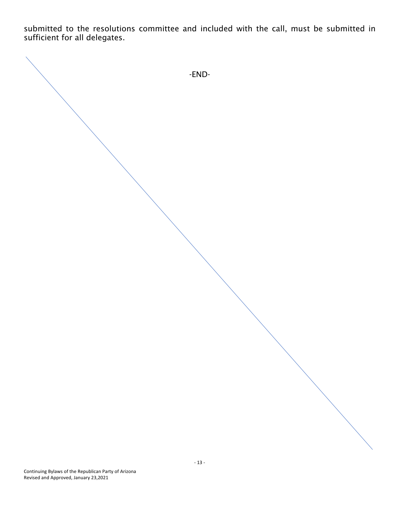submitted to the resolutions committee and included with the call, must be submitted in sufficient for all delegates.

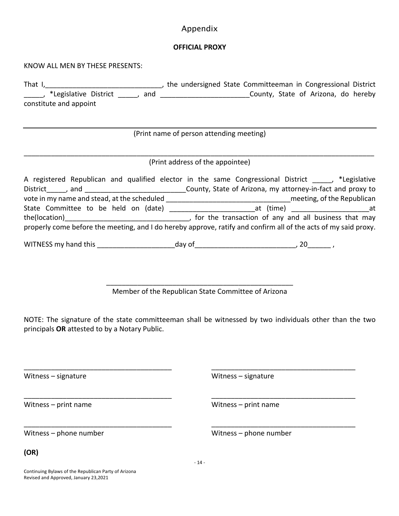#### Appendix

#### **OFFICIAL PROXY**

KNOW ALL MEN BY THESE PRESENTS:

That I,\_\_\_\_\_\_\_\_\_\_\_\_\_\_\_\_\_\_\_\_\_\_\_\_\_\_\_\_\_\_, the undersigned State Committeeman in Congressional District \_\_\_\_\_, \*Legislative District \_\_\_\_\_, and \_\_\_\_\_\_\_\_\_\_\_\_\_\_\_\_\_\_\_\_\_\_\_County, State of Arizona, do hereby constitute and appoint

(Print name of person attending meeting)

#### \_\_\_\_\_\_\_\_\_\_\_\_\_\_\_\_\_\_\_\_\_\_\_\_\_\_\_\_\_\_\_\_\_\_\_\_\_\_\_\_\_\_\_\_\_\_\_\_\_\_\_\_\_\_\_\_\_\_\_\_\_\_\_\_\_\_\_\_\_\_\_\_\_\_\_\_\_\_\_\_\_\_\_\_\_\_\_\_\_\_ (Print address of the appointee)

|                                                                                                                 | A registered Republican and qualified elector in the same Congressional District . *Legislative |  |
|-----------------------------------------------------------------------------------------------------------------|-------------------------------------------------------------------------------------------------|--|
|                                                                                                                 | County, State of Arizona, my attorney-in-fact and proxy to                                      |  |
| vote in my name and stead, at the scheduled                                                                     | meeting, of the Republican                                                                      |  |
| State Committee to be held on (date)                                                                            | at (time) __________________________at                                                          |  |
| the(location) <u>__________________</u>                                                                         | , for the transaction of any and all business that may                                          |  |
| properly come before the meeting, and I do hereby approve, ratify and confirm all of the acts of my said proxy. |                                                                                                 |  |
|                                                                                                                 |                                                                                                 |  |

WITNESS my hand this and this the day of the state of the state of the state of the state of the state of the state of the state of the state of the state of the state of the state of the state of the state of the state of

\_\_\_\_\_\_\_\_\_\_\_\_\_\_\_\_\_\_\_\_\_\_\_\_\_\_\_\_\_\_\_\_\_\_\_\_\_\_\_\_\_\_\_\_\_\_\_\_ Member of the Republican State Committee of Arizona

NOTE: The signature of the state committeeman shall be witnessed by two individuals other than the two principals **OR** attested to by a Notary Public.

\_\_\_\_\_\_\_\_\_\_\_\_\_\_\_\_\_\_\_\_\_\_\_\_\_\_\_\_\_\_\_\_\_\_\_\_\_\_ \_\_\_\_\_\_\_\_\_\_\_\_\_\_\_\_\_\_\_\_\_\_\_\_\_\_\_\_\_\_\_\_\_\_\_\_\_

\_\_\_\_\_\_\_\_\_\_\_\_\_\_\_\_\_\_\_\_\_\_\_\_\_\_\_\_\_\_\_\_\_\_\_\_\_\_ \_\_\_\_\_\_\_\_\_\_\_\_\_\_\_\_\_\_\_\_\_\_\_\_\_\_\_\_\_\_\_\_\_\_\_\_\_

\_\_\_\_\_\_\_\_\_\_\_\_\_\_\_\_\_\_\_\_\_\_\_\_\_\_\_\_\_\_\_\_\_\_\_\_\_\_ \_\_\_\_\_\_\_\_\_\_\_\_\_\_\_\_\_\_\_\_\_\_\_\_\_\_\_\_\_\_\_\_\_\_\_\_\_

Witness – print name Witness – print name

Witness – signature Witness – signature Witness – signature

Witness – phone number Witness – phone number

**(OR)** 

- 14 -

Continuing Bylaws of the Republican Party of Arizona Revised and Approved, January 23,2021